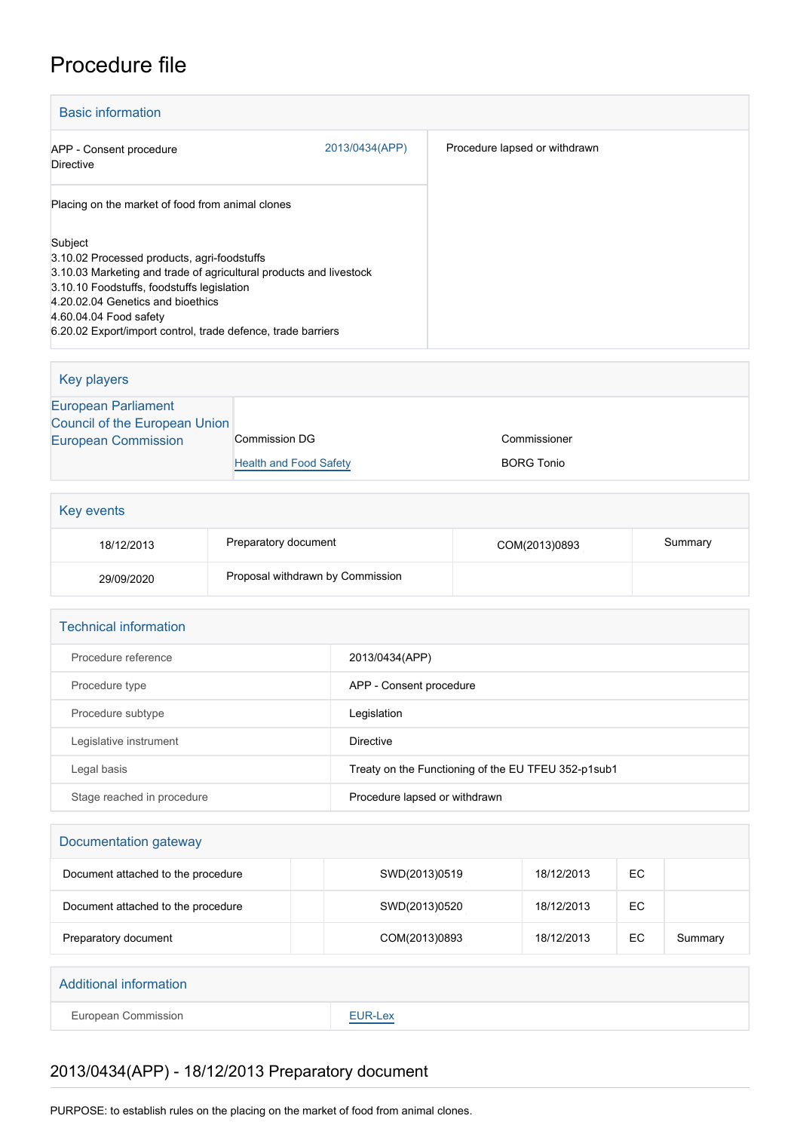## Procedure file

| <b>Basic information</b>                                           |                |                               |
|--------------------------------------------------------------------|----------------|-------------------------------|
| APP - Consent procedure<br>Directive                               | 2013/0434(APP) | Procedure lapsed or withdrawn |
| Placing on the market of food from animal clones                   |                |                               |
| Subject<br>3.10.02 Processed products, agri-foodstuffs             |                |                               |
| 3.10.03 Marketing and trade of agricultural products and livestock |                |                               |
| 3.10.10 Foodstuffs, foodstuffs legislation                         |                |                               |
| 4.20.02.04 Genetics and bioethics<br>4.60.04.04 Food safety        |                |                               |
| 6.20.02 Export/import control, trade defence, trade barriers       |                |                               |

| Key players                   |                               |                   |
|-------------------------------|-------------------------------|-------------------|
| <b>European Parliament</b>    |                               |                   |
| Council of the European Union |                               |                   |
| <b>European Commission</b>    | Commission DG                 | Commissioner      |
|                               | <b>Health and Food Safety</b> | <b>BORG Tonio</b> |
|                               |                               |                   |

| Key events |                                  |               |         |
|------------|----------------------------------|---------------|---------|
| 18/12/2013 | Preparatory document             | COM(2013)0893 | Summary |
| 29/09/2020 | Proposal withdrawn by Commission |               |         |

| <b>Technical information</b> |                                                      |
|------------------------------|------------------------------------------------------|
| Procedure reference          | 2013/0434(APP)                                       |
| Procedure type               | APP - Consent procedure                              |
| Procedure subtype            | Legislation                                          |
| Legislative instrument       | Directive                                            |
| Legal basis                  | Treaty on the Functioning of the EU TFEU 352-p1 sub1 |
| Stage reached in procedure   | Procedure lapsed or withdrawn                        |

## Documentation gateway

| Document attached to the procedure | SWD(2013)0519 | 18/12/2013 | EC |         |
|------------------------------------|---------------|------------|----|---------|
| Document attached to the procedure | SWD(2013)0520 | 18/12/2013 | EC |         |
| Preparatory document               | COM(2013)0893 | 18/12/2013 | EC | Summary |

| <b>Additional information</b> |                                                       |
|-------------------------------|-------------------------------------------------------|
| European Commission           | EUR-Lex<br><b>Contract Contract Contract Contract</b> |

## 2013/0434(APP) - 18/12/2013 Preparatory document

PURPOSE: to establish rules on the placing on the market of food from animal clones.